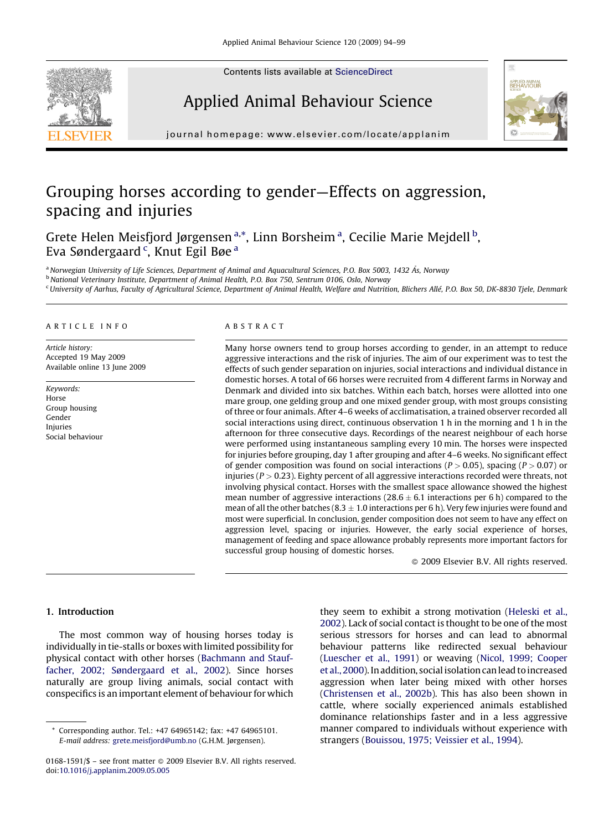

# Applied Animal Behaviour Science



journal homepage: www.elsevier.com/locate/applanim

## Grouping horses according to gender—Effects on aggression, spacing and injuries

Grete Helen Meisfjord Jørgensen<sup>a,\*</sup>, Linn Borsheim<sup>a</sup>, Cecilie Marie Mejdell<sup>b</sup>, Eva Søndergaard<sup>c</sup>, Knut Egil Bøe<sup>a</sup>

<sup>a</sup> Norwegian University of Life Sciences, Department of Animal and Aquacultural Sciences, P.O. Box 5003, 1432 As, Norway <sup>b</sup> National Veterinary Institute, Department of Animal Health, P.O. Box 750, Sentrum 0106, Oslo, Norway

<sup>c</sup> University of Aarhus, Faculty of Agricultural Science, Department of Animal Health, Welfare and Nutrition, Blichers Allé, P.O. Box 50, DK-8830 Tjele, Denmark

#### ARTICLE INFO

Article history: Accepted 19 May 2009 Available online 13 June 2009

Keywords: Horse Group housing Gender Injuries Social behaviour

#### ABSTRACT

Many horse owners tend to group horses according to gender, in an attempt to reduce aggressive interactions and the risk of injuries. The aim of our experiment was to test the effects of such gender separation on injuries, social interactions and individual distance in domestic horses. A total of 66 horses were recruited from 4 different farms in Norway and Denmark and divided into six batches. Within each batch, horses were allotted into one mare group, one gelding group and one mixed gender group, with most groups consisting of three or four animals. After 4–6 weeks of acclimatisation, a trained observer recorded all social interactions using direct, continuous observation 1 h in the morning and 1 h in the afternoon for three consecutive days. Recordings of the nearest neighbour of each horse were performed using instantaneous sampling every 10 min. The horses were inspected for injuries before grouping, day 1 after grouping and after 4–6 weeks. No significant effect of gender composition was found on social interactions ( $P > 0.05$ ), spacing ( $P > 0.07$ ) or injuries ( $P > 0.23$ ). Eighty percent of all aggressive interactions recorded were threats, not involving physical contact. Horses with the smallest space allowance showed the highest mean number of aggressive interactions (28.6  $\pm$  6.1 interactions per 6 h) compared to the mean of all the other batches (8.3  $\pm$  1.0 interactions per 6 h). Very few injuries were found and most were superficial. In conclusion, gender composition does not seem to have any effect on aggression level, spacing or injuries. However, the early social experience of horses, management of feeding and space allowance probably represents more important factors for successful group housing of domestic horses.

 $\odot$  2009 Elsevier B.V. All rights reserved.

## 1. Introduction

The most common way of housing horses today is individually in tie-stalls or boxes with limited possibility for physical contact with other horses ([Bachmann and Stauf](#page-4-0)[facher, 2002; Søndergaard et al., 2002](#page-4-0)). Since horses naturally are group living animals, social contact with conspecifics is an important element of behaviour for which

they seem to exhibit a strong motivation ([Heleski et al.,](#page-5-0) [2002](#page-5-0)). Lack of social contact is thought to be one of the most serious stressors for horses and can lead to abnormal behaviour patterns like redirected sexual behaviour [\(Luescher et al., 1991\)](#page-5-0) or weaving [\(Nicol, 1999; Cooper](#page-5-0) [et al., 2000](#page-5-0)). In addition, social isolation can lead to increased aggression when later being mixed with other horses [\(Christensen et al., 2002b](#page-5-0)). This has also been shown in cattle, where socially experienced animals established dominance relationships faster and in a less aggressive manner compared to individuals without experience with strangers ([Bouissou, 1975; Veissier et al., 1994\)](#page-4-0).

Corresponding author. Tel.: +47 64965142; fax: +47 64965101. E-mail address: [grete.meisfjord@umb.no](mailto:grete.meisfjord@umb.no) (G.H.M. Jørgensen).

<sup>0168-1591/\$ –</sup> see front matter © 2009 Elsevier B.V. All rights reserved. doi[:10.1016/j.applanim.2009.05.005](http://dx.doi.org/10.1016/j.applanim.2009.05.005)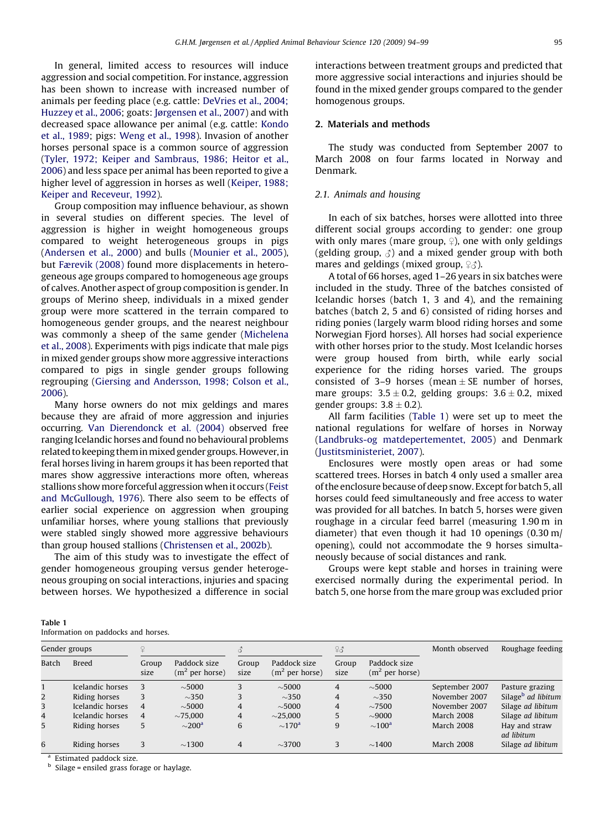In general, limited access to resources will induce aggression and social competition. For instance, aggression has been shown to increase with increased number of animals per feeding place (e.g. cattle: [DeVries et al., 2004;](#page-5-0) [Huzzey et al., 2006](#page-5-0); goats: [Jørgensen et al., 2007](#page-5-0)) and with decreased space allowance per animal (e.g. cattle: [Kondo](#page-5-0) [et al., 1989;](#page-5-0) pigs: [Weng et al., 1998](#page-5-0)). Invasion of another horses personal space is a common source of aggression ([Tyler, 1972; Keiper and Sambraus, 1986; Heitor et al.,](#page-5-0) [2006](#page-5-0)) and less space per animal has been reported to give a higher level of aggression in horses as well ([Keiper, 1988;](#page-5-0) [Keiper and Receveur, 1992](#page-5-0)).

Group composition may influence behaviour, as shown in several studies on different species. The level of aggression is higher in weight homogeneous groups compared to weight heterogeneous groups in pigs ([Andersen et al., 2000\)](#page-4-0) and bulls ([Mounier et al., 2005](#page-5-0)), but [Færevik \(2008\)](#page-5-0) found more displacements in heterogeneous age groups compared to homogeneous age groups of calves. Another aspect of group composition is gender. In groups of Merino sheep, individuals in a mixed gender group were more scattered in the terrain compared to homogeneous gender groups, and the nearest neighbour was commonly a sheep of the same gender [\(Michelena](#page-5-0) [et al., 2008\)](#page-5-0). Experiments with pigs indicate that male pigs in mixed gender groups show more aggressive interactions compared to pigs in single gender groups following regrouping [\(Giersing and Andersson, 1998; Colson et al.,](#page-5-0) [2006](#page-5-0)).

Many horse owners do not mix geldings and mares because they are afraid of more aggression and injuries occurring. [Van Dierendonck et al. \(2004\)](#page-5-0) observed free ranging Icelandic horses and found no behavioural problems related to keeping them in mixed gender groups. However, in feral horses living in harem groups it has been reported that mares show aggressive interactions more often, whereas stallions showmore forceful aggression when it occurs ([Feist](#page-5-0) [and McGullough, 1976](#page-5-0)). There also seem to be effects of earlier social experience on aggression when grouping unfamiliar horses, where young stallions that previously were stabled singly showed more aggressive behaviours than group housed stallions [\(Christensen et al., 2002b\)](#page-5-0).

The aim of this study was to investigate the effect of gender homogeneous grouping versus gender heterogeneous grouping on social interactions, injuries and spacing between horses. We hypothesized a difference in social interactions between treatment groups and predicted that more aggressive social interactions and injuries should be found in the mixed gender groups compared to the gender homogenous groups.

## 2. Materials and methods

The study was conducted from September 2007 to March 2008 on four farms located in Norway and Denmark.

## 2.1. Animals and housing

In each of six batches, horses were allotted into three different social groups according to gender: one group with only mares (mare group,  $\circ$ ), one with only geldings (gelding group,  $\delta$ ) and a mixed gender group with both mares and geldings (mixed group,  $\varphi_0$ ).

A total of 66 horses, aged 1–26 years in six batches were included in the study. Three of the batches consisted of Icelandic horses (batch 1, 3 and 4), and the remaining batches (batch 2, 5 and 6) consisted of riding horses and riding ponies (largely warm blood riding horses and some Norwegian Fjord horses). All horses had social experience with other horses prior to the study. Most Icelandic horses were group housed from birth, while early social experience for the riding horses varied. The groups consisted of 3–9 horses (mean  $\pm$  SE number of horses, mare groups:  $3.5 \pm 0.2$ , gelding groups:  $3.6 \pm 0.2$ , mixed gender groups: 3.8  $\pm$  0.2).

All farm facilities (Table 1) were set up to meet the national regulations for welfare of horses in Norway [\(Landbruks-og matdepertementet, 2005](#page-5-0)) and Denmark [\(Justitsministeriet, 2007\)](#page-5-0).

Enclosures were mostly open areas or had some scattered trees. Horses in batch 4 only used a smaller area of the enclosure because of deep snow. Except for batch 5, all horses could feed simultaneously and free access to water was provided for all batches. In batch 5, horses were given roughage in a circular feed barrel (measuring 1.90 m in diameter) that even though it had 10 openings (0.30 m/ opening), could not accommodate the 9 horses simultaneously because of social distances and rank.

Groups were kept stable and horses in training were exercised normally during the experimental period. In batch 5, one horse from the mare group was excluded prior

| Table 1                             |  |  |
|-------------------------------------|--|--|
| Information on paddocks and horses. |  |  |

|       | Gender groups    |                |                                   | Ó             |                                   | 23            |                                  | Month observed    | Roughage feeding               |
|-------|------------------|----------------|-----------------------------------|---------------|-----------------------------------|---------------|----------------------------------|-------------------|--------------------------------|
| Batch | Breed            | Group<br>size  | Paddock size<br>$(m^2$ per horse) | Group<br>size | Paddock size<br>$(m^2$ per horse) | Group<br>size | Paddock size<br>$(m2$ per horse) |                   |                                |
|       | Icelandic horses | 3              | ${\sim}5000$                      |               | $\sim$ 5000                       | 4             | $\sim$ 5000                      | September 2007    | Pasture grazing                |
| 2     | Riding horses    | 3              | $\sim$ 350                        |               | $\sim$ 350                        | 4             | $\sim$ 350                       | November 2007     | Silage <sup>b</sup> ad libitum |
| 3     | Icelandic horses | $\overline{4}$ | $\sim$ 5000                       | 4             | $\sim$ 5000                       | 4             | $\sim$ 7500                      | November 2007     | Silage ad libitum              |
| 4     | Icelandic horses | 4              | $\sim$ 75.000                     | 4             | ${\sim}25.000$                    | 5             | $\sim$ 9000                      | <b>March 2008</b> | Silage ad libitum              |
| 5     | Riding horses    | 5              | $\sim$ 200 <sup>a</sup>           | 6             | $\sim$ 170 <sup>a</sup>           | 9             | $\sim 100a$                      | <b>March 2008</b> | Hay and straw<br>ad libitum    |
| 6     | Riding horses    | 3              | $\sim$ 1300                       | 4             | $\sim$ 3700                       | 3             | $\sim$ 1400                      | <b>March 2008</b> | Silage ad libitum              |

<sup>a</sup> Estimated paddock size.

 $<sup>b</sup>$  Silage = ensiled grass forage or haylage.</sup>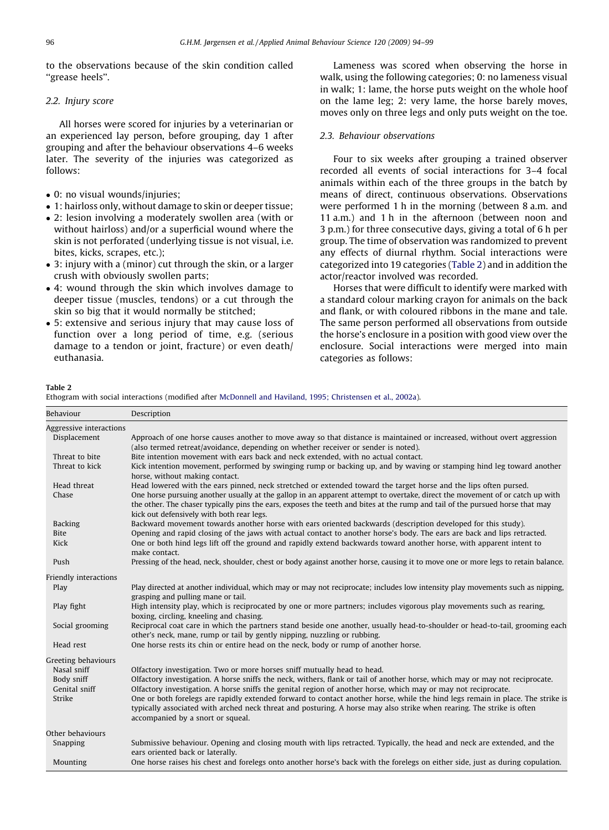to the observations because of the skin condition called ''grease heels''.

## 2.2. Injury score

All horses were scored for injuries by a veterinarian or an experienced lay person, before grouping, day 1 after grouping and after the behaviour observations 4–6 weeks later. The severity of the injuries was categorized as follows:

- 0: no visual wounds/injuries;
- 1: hairloss only, without damage to skin or deeper tissue;
- 2: lesion involving a moderately swollen area (with or without hairloss) and/or a superficial wound where the skin is not perforated (underlying tissue is not visual, i.e. bites, kicks, scrapes, etc.);
- 3: injury with a (minor) cut through the skin, or a larger crush with obviously swollen parts;
- 4: wound through the skin which involves damage to deeper tissue (muscles, tendons) or a cut through the skin so big that it would normally be stitched;
- 5: extensive and serious injury that may cause loss of function over a long period of time, e.g. (serious damage to a tendon or joint, fracture) or even death/ euthanasia.

Lameness was scored when observing the horse in walk, using the following categories; 0: no lameness visual in walk; 1: lame, the horse puts weight on the whole hoof on the lame leg; 2: very lame, the horse barely moves, moves only on three legs and only puts weight on the toe.

## 2.3. Behaviour observations

Four to six weeks after grouping a trained observer recorded all events of social interactions for 3–4 focal animals within each of the three groups in the batch by means of direct, continuous observations. Observations were performed 1 h in the morning (between 8 a.m. and 11 a.m.) and 1 h in the afternoon (between noon and 3 p.m.) for three consecutive days, giving a total of 6 h per group. The time of observation was randomized to prevent any effects of diurnal rhythm. Social interactions were categorized into 19 categories (Table 2) and in addition the actor/reactor involved was recorded.

Horses that were difficult to identify were marked with a standard colour marking crayon for animals on the back and flank, or with coloured ribbons in the mane and tale. The same person performed all observations from outside the horse's enclosure in a position with good view over the enclosure. Social interactions were merged into main categories as follows:

#### Table 2

Ethogram with social interactions (modified after [McDonnell and Haviland, 1995; Christensen et al., 2002a](#page-5-0)).

| Behaviour               | Description                                                                                                                                                                                                                                                                                                |
|-------------------------|------------------------------------------------------------------------------------------------------------------------------------------------------------------------------------------------------------------------------------------------------------------------------------------------------------|
| Aggressive interactions |                                                                                                                                                                                                                                                                                                            |
| Displacement            | Approach of one horse causes another to move away so that distance is maintained or increased, without overt aggression<br>(also termed retreat/avoidance, depending on whether receiver or sender is noted).                                                                                              |
| Threat to bite          | Bite intention movement with ears back and neck extended, with no actual contact.                                                                                                                                                                                                                          |
| Threat to kick          | Kick intention movement, performed by swinging rump or backing up, and by waving or stamping hind leg toward another<br>horse, without making contact.                                                                                                                                                     |
| Head threat             | Head lowered with the ears pinned, neck stretched or extended toward the target horse and the lips often pursed.                                                                                                                                                                                           |
| Chase                   | One horse pursuing another usually at the gallop in an apparent attempt to overtake, direct the movement of or catch up with<br>the other. The chaser typically pins the ears, exposes the teeth and bites at the rump and tail of the pursued horse that may<br>kick out defensively with both rear legs. |
| <b>Backing</b>          | Backward movement towards another horse with ears oriented backwards (description developed for this study).                                                                                                                                                                                               |
| Bite                    | Opening and rapid closing of the jaws with actual contact to another horse's body. The ears are back and lips retracted.                                                                                                                                                                                   |
| Kick                    | One or both hind legs lift off the ground and rapidly extend backwards toward another horse, with apparent intent to<br>make contact.                                                                                                                                                                      |
| Push                    | Pressing of the head, neck, shoulder, chest or body against another horse, causing it to move one or more legs to retain balance.                                                                                                                                                                          |
| Friendly interactions   |                                                                                                                                                                                                                                                                                                            |
| Play                    | Play directed at another individual, which may or may not reciprocate; includes low intensity play movements such as nipping,<br>grasping and pulling mane or tail.                                                                                                                                        |
| Play fight              | High intensity play, which is reciprocated by one or more partners; includes vigorous play movements such as rearing,<br>boxing, circling, kneeling and chasing.                                                                                                                                           |
| Social grooming         | Reciprocal coat care in which the partners stand beside one another, usually head-to-shoulder or head-to-tail, grooming each<br>other's neck, mane, rump or tail by gently nipping, nuzzling or rubbing.                                                                                                   |
| Head rest               | One horse rests its chin or entire head on the neck, body or rump of another horse.                                                                                                                                                                                                                        |
| Greeting behaviours     |                                                                                                                                                                                                                                                                                                            |
| Nasal sniff             | Olfactory investigation. Two or more horses sniff mutually head to head.                                                                                                                                                                                                                                   |
| Body sniff              | Olfactory investigation. A horse sniffs the neck, withers, flank or tail of another horse, which may or may not reciprocate.                                                                                                                                                                               |
| Genital sniff           | Olfactory investigation. A horse sniffs the genital region of another horse, which may or may not reciprocate.                                                                                                                                                                                             |
| Strike                  | One or both forelegs are rapidly extended forward to contact another horse, while the hind legs remain in place. The strike is                                                                                                                                                                             |
|                         | typically associated with arched neck threat and posturing. A horse may also strike when rearing. The strike is often<br>accompanied by a snort or squeal.                                                                                                                                                 |
| Other behaviours        |                                                                                                                                                                                                                                                                                                            |
| Snapping                | Submissive behaviour. Opening and closing mouth with lips retracted. Typically, the head and neck are extended, and the<br>ears oriented back or laterally.                                                                                                                                                |
| Mounting                | One horse raises his chest and forelegs onto another horse's back with the forelegs on either side, just as during copulation.                                                                                                                                                                             |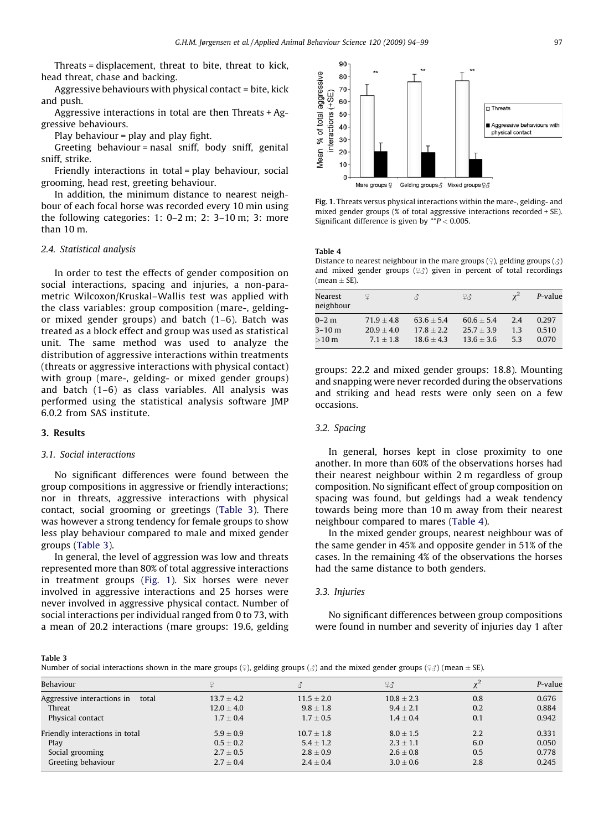Threats = displacement, threat to bite, threat to kick, head threat, chase and backing.

Aggressive behaviours with physical contact = bite, kick and push.

Aggressive interactions in total are then Threats + Aggressive behaviours.

Play behaviour = play and play fight.

Greeting behaviour = nasal sniff, body sniff, genital sniff, strike.

Friendly interactions in total = play behaviour, social grooming, head rest, greeting behaviour.

In addition, the minimum distance to nearest neighbour of each focal horse was recorded every 10 min using the following categories: 1: 0–2 m; 2: 3–10 m; 3: more than 10 m.

#### 2.4. Statistical analysis

In order to test the effects of gender composition on social interactions, spacing and injuries, a non-parametric Wilcoxon/Kruskal–Wallis test was applied with the class variables: group composition (mare-, geldingor mixed gender groups) and batch (1–6). Batch was treated as a block effect and group was used as statistical unit. The same method was used to analyze the distribution of aggressive interactions within treatments (threats or aggressive interactions with physical contact) with group (mare-, gelding- or mixed gender groups) and batch (1–6) as class variables. All analysis was performed using the statistical analysis software JMP 6.0.2 from SAS institute.

#### 3. Results

## 3.1. Social interactions

No significant differences were found between the group compositions in aggressive or friendly interactions; nor in threats, aggressive interactions with physical contact, social grooming or greetings (Table 3). There was however a strong tendency for female groups to show less play behaviour compared to male and mixed gender groups (Table 3).

In general, the level of aggression was low and threats represented more than 80% of total aggressive interactions in treatment groups (Fig. 1). Six horses were never involved in aggressive interactions and 25 horses were never involved in aggressive physical contact. Number of social interactions per individual ranged from 0 to 73, with a mean of 20.2 interactions (mare groups: 19.6, gelding



Fig. 1. Threats versus physical interactions within the mare-, gelding- and mixed gender groups (% of total aggressive interactions recorded + SE). Significant difference is given by  $*P < 0.005$ .

#### Table 4

Distance to nearest neighbour in the mare groups ( $\circ$ ), gelding groups ( $\circ$ ) and mixed gender groups  $(2,3)$  given in percent of total recordings  $($ mean  $\pm$  SE).

| Nearest<br>neighbour |              | 3            | 23           |     | $P$ -value |
|----------------------|--------------|--------------|--------------|-----|------------|
| $0 - 2$ m            | $71.9 + 4.8$ | $63.6 + 5.4$ | $60.6 + 5.4$ | 2.4 | 0.297      |
| $3 - 10$ m           | $20.9 + 4.0$ | $17.8 + 2.2$ | $25.7 + 3.9$ | 1.3 | 0.510      |
| $>10 \text{ m}$      | $7.1 + 1.8$  | $18.6 + 4.3$ | $13.6 + 3.6$ | 53  | 0.070      |

groups: 22.2 and mixed gender groups: 18.8). Mounting and snapping were never recorded during the observations and striking and head rests were only seen on a few occasions.

#### 3.2. Spacing

In general, horses kept in close proximity to one another. In more than 60% of the observations horses had their nearest neighbour within 2 m regardless of group composition. No significant effect of group composition on spacing was found, but geldings had a weak tendency towards being more than 10 m away from their nearest neighbour compared to mares (Table 4).

In the mixed gender groups, nearest neighbour was of the same gender in 45% and opposite gender in 51% of the cases. In the remaining 4% of the observations the horses had the same distance to both genders.

#### 3.3. Injuries

No significant differences between group compositions were found in number and severity of injuries day 1 after

Table 3

Number of social interactions shown in the mare groups (♀), gelding groups (♂) and the mixed gender groups (♀3) (mean ± SE).

| Behaviour                           |                |                | 23             |     | P-value |
|-------------------------------------|----------------|----------------|----------------|-----|---------|
|                                     |                |                |                |     |         |
| Aggressive interactions in<br>total | $13.7 \pm 4.2$ | $11.5 \pm 2.0$ | $10.8 \pm 2.3$ | 0.8 | 0.676   |
| Threat                              | $12.0 \pm 4.0$ | $9.8 \pm 1.8$  | $9.4 \pm 2.1$  | 0.2 | 0.884   |
| Physical contact                    | $1.7 \pm 0.4$  | $1.7 \pm 0.5$  | $1.4 \pm 0.4$  | 0.1 | 0.942   |
| Friendly interactions in total      | $5.9 \pm 0.9$  | $10.7 \pm 1.8$ | $8.0 \pm 1.5$  | 2.2 | 0.331   |
| Play                                | $0.5 \pm 0.2$  | $5.4 \pm 1.2$  | $2.3 \pm 1.1$  | 6.0 | 0.050   |
| Social grooming                     | $2.7 \pm 0.5$  | $2.8 \pm 0.9$  | $2.6 \pm 0.8$  | 0.5 | 0.778   |
| Greeting behaviour                  | $2.7 \pm 0.4$  | $2.4 \pm 0.4$  | $3.0 \pm 0.6$  | 2.8 | 0.245   |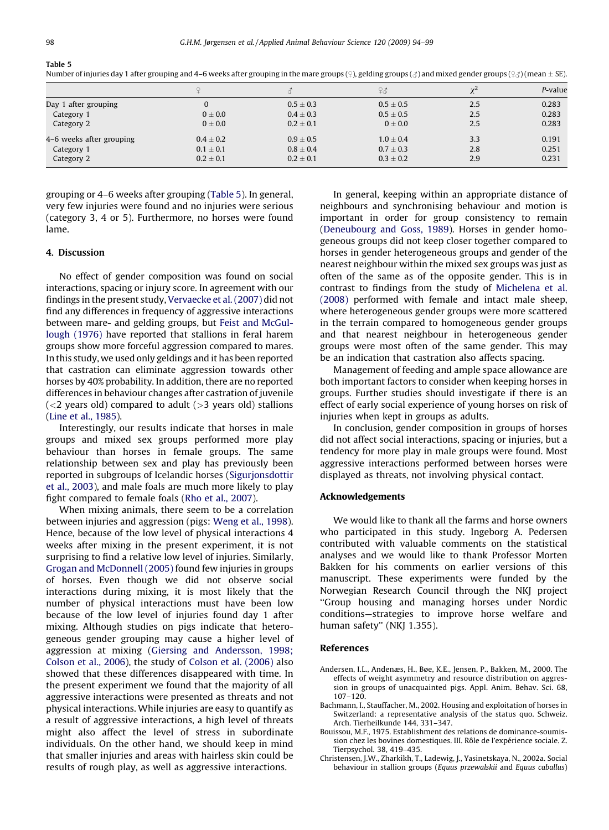<span id="page-4-0"></span>

Number of injuries day 1 after grouping and 4–6 weeks after grouping in the mare groups (?), gelding groups (♂) and mixed gender groups (?¿) (mean  $\pm$  SE).

|                          |               |               | ⊊ଟ            |     | P-value |
|--------------------------|---------------|---------------|---------------|-----|---------|
| Day 1 after grouping     |               | $0.5 \pm 0.3$ | $0.5 \pm 0.5$ | 2.5 | 0.283   |
| Category 1               | $0\pm0.0$     | $0.4 \pm 0.3$ | $0.5 \pm 0.5$ | 2.5 | 0.283   |
| Category 2               | $0 \pm 0.0$   | $0.2 \pm 0.1$ | $0 \pm 0.0$   | 2.5 | 0.283   |
| 4-6 weeks after grouping | $0.4 \pm 0.2$ | $0.9 \pm 0.5$ | $1.0 \pm 0.4$ | 3.3 | 0.191   |
| Category 1               | $0.1 \pm 0.1$ | $0.8 \pm 0.4$ | $0.7 \pm 0.3$ | 2.8 | 0.251   |
| Category 2               | $0.2 \pm 0.1$ | $0.2 \pm 0.1$ | $0.3 \pm 0.2$ | 2.9 | 0.231   |

grouping or 4–6 weeks after grouping (Table 5). In general, very few injuries were found and no injuries were serious (category 3, 4 or 5). Furthermore, no horses were found lame.

#### 4. Discussion

No effect of gender composition was found on social interactions, spacing or injury score. In agreement with our findings in the present study, [Vervaecke et al. \(2007\)](#page-5-0) did not find any differences in frequency of aggressive interactions between mare- and gelding groups, but [Feist and McGul](#page-5-0)[lough \(1976\)](#page-5-0) have reported that stallions in feral harem groups show more forceful aggression compared to mares. In this study, we used only geldings and it has been reported that castration can eliminate aggression towards other horses by 40% probability. In addition, there are no reported differences in behaviour changes after castration of juvenile  $(<$ 2 years old) compared to adult  $(>$ 3 years old) stallions [\(Line et al., 1985](#page-5-0)).

Interestingly, our results indicate that horses in male groups and mixed sex groups performed more play behaviour than horses in female groups. The same relationship between sex and play has previously been reported in subgroups of Icelandic horses [\(Sigurjonsdottir](#page-5-0) [et al., 2003\)](#page-5-0), and male foals are much more likely to play fight compared to female foals [\(Rho et al., 2007\)](#page-5-0).

When mixing animals, there seem to be a correlation between injuries and aggression (pigs: [Weng et al., 1998](#page-5-0)). Hence, because of the low level of physical interactions 4 weeks after mixing in the present experiment, it is not surprising to find a relative low level of injuries. Similarly, [Grogan and McDonnell \(2005\)](#page-5-0) found few injuries in groups of horses. Even though we did not observe social interactions during mixing, it is most likely that the number of physical interactions must have been low because of the low level of injuries found day 1 after mixing. Although studies on pigs indicate that heterogeneous gender grouping may cause a higher level of aggression at mixing [\(Giersing and Andersson, 1998;](#page-5-0) [Colson et al., 2006](#page-5-0)), the study of [Colson et al. \(2006\)](#page-5-0) also showed that these differences disappeared with time. In the present experiment we found that the majority of all aggressive interactions were presented as threats and not physical interactions. While injuries are easy to quantify as a result of aggressive interactions, a high level of threats might also affect the level of stress in subordinate individuals. On the other hand, we should keep in mind that smaller injuries and areas with hairless skin could be results of rough play, as well as aggressive interactions.

In general, keeping within an appropriate distance of neighbours and synchronising behaviour and motion is important in order for group consistency to remain [\(Deneubourg and Goss, 1989](#page-5-0)). Horses in gender homogeneous groups did not keep closer together compared to horses in gender heterogeneous groups and gender of the nearest neighbour within the mixed sex groups was just as often of the same as of the opposite gender. This is in contrast to findings from the study of [Michelena et al.](#page-5-0) [\(2008\)](#page-5-0) performed with female and intact male sheep, where heterogeneous gender groups were more scattered in the terrain compared to homogeneous gender groups and that nearest neighbour in heterogeneous gender groups were most often of the same gender. This may be an indication that castration also affects spacing.

Management of feeding and ample space allowance are both important factors to consider when keeping horses in groups. Further studies should investigate if there is an effect of early social experience of young horses on risk of injuries when kept in groups as adults.

In conclusion, gender composition in groups of horses did not affect social interactions, spacing or injuries, but a tendency for more play in male groups were found. Most aggressive interactions performed between horses were displayed as threats, not involving physical contact.

#### Acknowledgements

We would like to thank all the farms and horse owners who participated in this study. Ingeborg A. Pedersen contributed with valuable comments on the statistical analyses and we would like to thank Professor Morten Bakken for his comments on earlier versions of this manuscript. These experiments were funded by the Norwegian Research Council through the NKJ project ''Group housing and managing horses under Nordic conditions—strategies to improve horse welfare and human safety'' (NKJ 1.355).

## References

- Andersen, I.L., Andenæs, H., Bøe, K.E., Jensen, P., Bakken, M., 2000. The effects of weight asymmetry and resource distribution on aggression in groups of unacquainted pigs. Appl. Anim. Behav. Sci. 68, 107–120.
- Bachmann, I., Stauffacher, M., 2002. Housing and exploitation of horses in Switzerland: a representative analysis of the status quo. Schweiz. Arch. Tierheilkunde 144, 331–347.
- Bouissou, M.F., 1975. Establishment des relations de dominance-soumission chez les bovines domestiques. III. Rôle de l'expérience sociale. Z. Tierpsychol. 38, 419–435.
- Christensen, J.W., Zharkikh, T., Ladewig, J., Yasinetskaya, N., 2002a. Social behaviour in stallion groups (Equus przewalskii and Equus caballus)